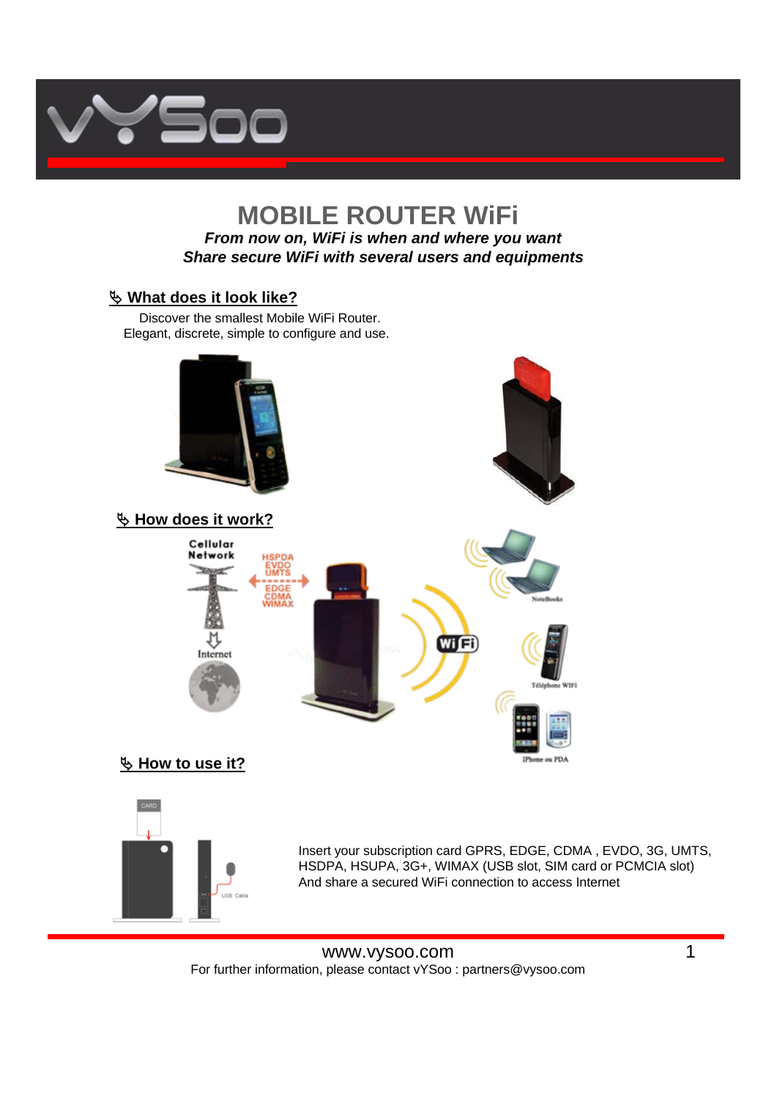

## **MOBILE ROUTER WiFi** *From now on, WiFi is when and where you want Share secure WiFi with several users and equipments*

## $\%$  What does it look like?

Discover the smallest Mobile WiFi Router. Elegant, discrete, simple to configure and use.



## ª **How to use it?**



Insert your subscription card GPRS, EDGE, CDMA , EVDO, 3G, UMTS, HSDPA, HSUPA, 3G+, WIMAX (USB slot, SIM card or PCMCIA slot) And share a secured WiFi connection to access Internet